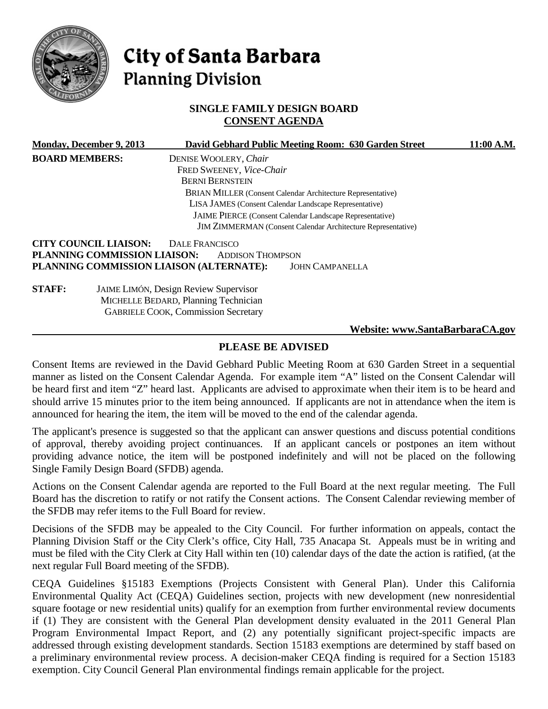

# City of Santa Barbara **Planning Division**

# **SINGLE FAMILY DESIGN BOARD CONSENT AGENDA**

|                       | <b>Monday, December 9, 2013</b> | David Gebhard Public Meeting Room: 630 Garden Street                | 11:00 A.M.                      |
|-----------------------|---------------------------------|---------------------------------------------------------------------|---------------------------------|
| <b>BOARD MEMBERS:</b> |                                 | DENISE WOOLERY, Chair                                               |                                 |
|                       |                                 | FRED SWEENEY, Vice-Chair                                            |                                 |
|                       |                                 | <b>BERNI BERNSTEIN</b>                                              |                                 |
|                       |                                 | <b>BRIAN MILLER (Consent Calendar Architecture Representative)</b>  |                                 |
|                       |                                 | LISA JAMES (Consent Calendar Landscape Representative)              |                                 |
|                       |                                 | <b>JAIME PIERCE</b> (Consent Calendar Landscape Representative)     |                                 |
|                       |                                 | <b>JIM ZIMMERMAN</b> (Consent Calendar Architecture Representative) |                                 |
|                       | <b>CITY COUNCIL LIAISON:</b>    | DALE FRANCISCO                                                      |                                 |
|                       | PLANNING COMMISSION LIAISON:    | <b>ADDISON THOMPSON</b>                                             |                                 |
|                       |                                 | PLANNING COMMISSION LIAISON (ALTERNATE):<br><b>JOHN CAMPANELLA</b>  |                                 |
| <b>STAFF:</b>         |                                 | <b>JAIME LIMÓN, Design Review Supervisor</b>                        |                                 |
|                       |                                 | MICHELLE BEDARD, Planning Technician                                |                                 |
|                       |                                 | <b>GABRIELE COOK, Commission Secretary</b>                          |                                 |
|                       |                                 |                                                                     | Website: www.SantaBarbaraCA.gov |

# **PLEASE BE ADVISED**

Consent Items are reviewed in the David Gebhard Public Meeting Room at 630 Garden Street in a sequential manner as listed on the Consent Calendar Agenda. For example item "A" listed on the Consent Calendar will be heard first and item "Z" heard last. Applicants are advised to approximate when their item is to be heard and should arrive 15 minutes prior to the item being announced. If applicants are not in attendance when the item is announced for hearing the item, the item will be moved to the end of the calendar agenda.

The applicant's presence is suggested so that the applicant can answer questions and discuss potential conditions of approval, thereby avoiding project continuances. If an applicant cancels or postpones an item without providing advance notice, the item will be postponed indefinitely and will not be placed on the following Single Family Design Board (SFDB) agenda.

Actions on the Consent Calendar agenda are reported to the Full Board at the next regular meeting. The Full Board has the discretion to ratify or not ratify the Consent actions. The Consent Calendar reviewing member of the SFDB may refer items to the Full Board for review.

Decisions of the SFDB may be appealed to the City Council. For further information on appeals, contact the Planning Division Staff or the City Clerk's office, City Hall, 735 Anacapa St. Appeals must be in writing and must be filed with the City Clerk at City Hall within ten (10) calendar days of the date the action is ratified, (at the next regular Full Board meeting of the SFDB).

CEQA Guidelines §15183 Exemptions (Projects Consistent with General Plan). Under this California Environmental Quality Act (CEQA) Guidelines section, projects with new development (new nonresidential square footage or new residential units) qualify for an exemption from further environmental review documents if (1) They are consistent with the General Plan development density evaluated in the 2011 General Plan Program Environmental Impact Report, and (2) any potentially significant project-specific impacts are addressed through existing development standards. Section 15183 exemptions are determined by staff based on a preliminary environmental review process. A decision-maker CEQA finding is required for a Section 15183 exemption. City Council General Plan environmental findings remain applicable for the project.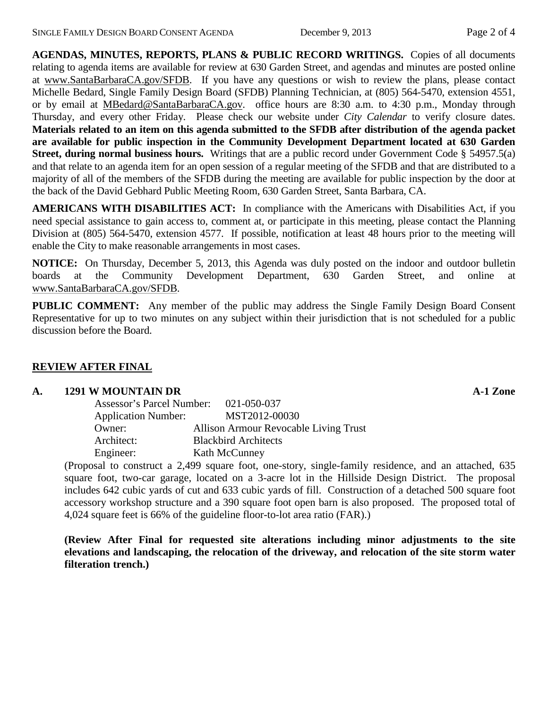**AGENDAS, MINUTES, REPORTS, PLANS & PUBLIC RECORD WRITINGS.** Copies of all documents relating to agenda items are available for review at 630 Garden Street, and agendas and minutes are posted online at [www.SantaBarbaraCA.gov/SFDB.](http://www.santabarbaraca.gov/ABR) If you have any questions or wish to review the plans, please contact Michelle Bedard, Single Family Design Board (SFDB) Planning Technician, at (805) 564-5470, extension 4551, or by email at [MBedard@SantaBarbaraCA.gov.](mailto:MBedard@SantaBarbaraCA.gov) office hours are 8:30 a.m. to 4:30 p.m., Monday through Thursday, and every other Friday. Please check our website under *City Calendar* to verify closure dates. **Materials related to an item on this agenda submitted to the SFDB after distribution of the agenda packet are available for public inspection in the Community Development Department located at 630 Garden Street, during normal business hours.** Writings that are a public record under Government Code § 54957.5(a) and that relate to an agenda item for an open session of a regular meeting of the SFDB and that are distributed to a majority of all of the members of the SFDB during the meeting are available for public inspection by the door at the back of the David Gebhard Public Meeting Room, 630 Garden Street, Santa Barbara, CA.

**AMERICANS WITH DISABILITIES ACT:** In compliance with the Americans with Disabilities Act, if you need special assistance to gain access to, comment at, or participate in this meeting, please contact the Planning Division at (805) 564-5470, extension 4577. If possible, notification at least 48 hours prior to the meeting will enable the City to make reasonable arrangements in most cases.

**NOTICE:** On Thursday, December 5, 2013, this Agenda was duly posted on the indoor and outdoor bulletin boards at the Community Development Department, 630 Garden Street, and online at [www.SantaBarbaraCA.gov/SFDB.](http://www.santabarbaraca.gov/sfdb)

**PUBLIC COMMENT:** Any member of the public may address the Single Family Design Board Consent Representative for up to two minutes on any subject within their jurisdiction that is not scheduled for a public discussion before the Board.

# **REVIEW AFTER FINAL**

#### **A. 1291 W MOUNTAIN DR A-1 Zone**

| Assessor's Parcel Number:  | 021-050-037                           |
|----------------------------|---------------------------------------|
| <b>Application Number:</b> | MST2012-00030                         |
| Owner:                     | Allison Armour Revocable Living Trust |
| Architect:                 | <b>Blackbird Architects</b>           |
| Engineer:                  | Kath McCunney                         |

(Proposal to construct a 2,499 square foot, one-story, single-family residence, and an attached, 635 square foot, two-car garage, located on a 3-acre lot in the Hillside Design District. The proposal includes 642 cubic yards of cut and 633 cubic yards of fill. Construction of a detached 500 square foot accessory workshop structure and a 390 square foot open barn is also proposed. The proposed total of 4,024 square feet is 66% of the guideline floor-to-lot area ratio (FAR).)

**(Review After Final for requested site alterations including minor adjustments to the site elevations and landscaping, the relocation of the driveway, and relocation of the site storm water filteration trench.)**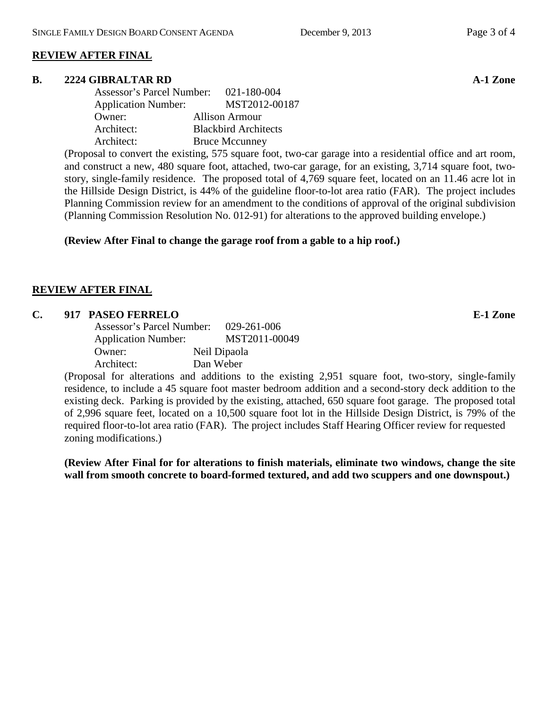## **REVIEW AFTER FINAL**

#### **B. 2224 GIBRALTAR RD A-1 Zone**

| <b>Assessor's Parcel Number:</b> | 021-180-004                 |
|----------------------------------|-----------------------------|
| <b>Application Number:</b>       | MST2012-00187               |
| Owner:                           | <b>Allison Armour</b>       |
| Architect:                       | <b>Blackbird Architects</b> |
| Architect:                       | <b>Bruce Mccunney</b>       |

(Proposal to convert the existing, 575 square foot, two-car garage into a residential office and art room, and construct a new, 480 square foot, attached, two-car garage, for an existing, 3,714 square foot, twostory, single-family residence. The proposed total of 4,769 square feet, located on an 11.46 acre lot in the Hillside Design District, is 44% of the guideline floor-to-lot area ratio (FAR). The project includes Planning Commission review for an amendment to the conditions of approval of the original subdivision (Planning Commission Resolution No. 012-91) for alterations to the approved building envelope.)

#### **(Review After Final to change the garage roof from a gable to a hip roof.)**

#### **REVIEW AFTER FINAL**

#### **C. 917 PASEO FERRELO E-1 Zone**

Assessor's Parcel Number: 029-261-006 Application Number: MST2011-00049 Owner: Neil Dipaola Architect: Dan Weber

(Proposal for alterations and additions to the existing 2,951 square foot, two-story, single-family residence, to include a 45 square foot master bedroom addition and a second-story deck addition to the existing deck. Parking is provided by the existing, attached, 650 square foot garage. The proposed total of 2,996 square feet, located on a 10,500 square foot lot in the Hillside Design District, is 79% of the required floor-to-lot area ratio (FAR). The project includes Staff Hearing Officer review for requested zoning modifications.)

**(Review After Final for for alterations to finish materials, eliminate two windows, change the site wall from smooth concrete to board-formed textured, and add two scuppers and one downspout.)**